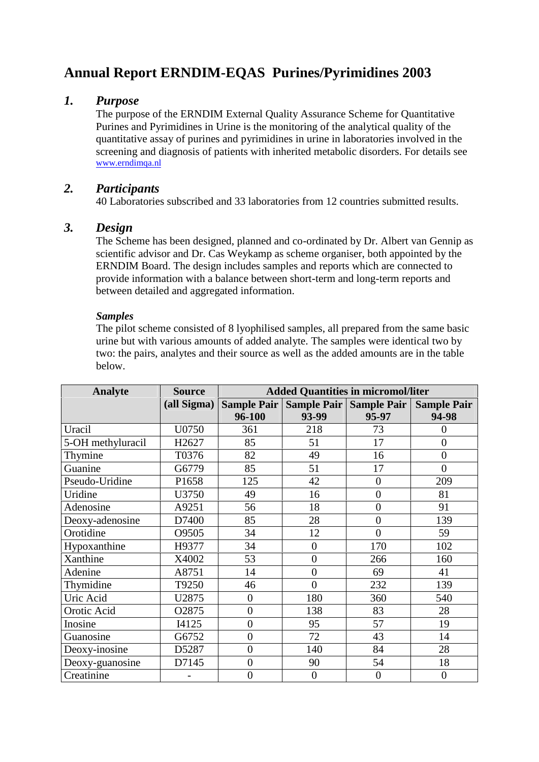# **Annual Report ERNDIM-EQAS Purines/Pyrimidines 2003**

## *1. Purpose*

The purpose of the ERNDIM External Quality Assurance Scheme for Quantitative Purines and Pyrimidines in Urine is the monitoring of the analytical quality of the quantitative assay of purines and pyrimidines in urine in laboratories involved in the screening and diagnosis of patients with inherited metabolic disorders. For details see www.erndimqa.nl

## *2. Participants*

40 Laboratories subscribed and 33 laboratories from 12 countries submitted results.

## *3. Design*

The Scheme has been designed, planned and co-ordinated by Dr. Albert van Gennip as scientific advisor and Dr. Cas Weykamp as scheme organiser, both appointed by the ERNDIM Board. The design includes samples and reports which are connected to provide information with a balance between short-term and long-term reports and between detailed and aggregated information.

### *Samples*

The pilot scheme consisted of 8 lyophilised samples, all prepared from the same basic urine but with various amounts of added analyte. The samples were identical two by two: the pairs, analytes and their source as well as the added amounts are in the table below.

| <b>Analyte</b>    | <b>Source</b> | <b>Added Quantities in micromol/liter</b> |                  |                         |                    |
|-------------------|---------------|-------------------------------------------|------------------|-------------------------|--------------------|
|                   | (all Sigma)   | <b>Sample Pair</b>                        |                  | Sample Pair Sample Pair | <b>Sample Pair</b> |
|                   |               | 96-100                                    | 93-99            | 95-97                   | 94-98              |
| Uracil            | U0750         | 361                                       | 218              | 73                      | 0                  |
| 5-OH methyluracil | H2627         | 85                                        | 51               | 17                      | $\boldsymbol{0}$   |
| Thymine           | T0376         | 82                                        | 49               | 16                      | $\overline{0}$     |
| Guanine           | G6779         | 85                                        | 51               | 17                      | $\overline{0}$     |
| Pseudo-Uridine    | P1658         | 125                                       | 42               | $\overline{0}$          | 209                |
| Uridine           | U3750         | 49                                        | 16               | $\overline{0}$          | 81                 |
| Adenosine         | A9251         | 56                                        | 18               | $\overline{0}$          | 91                 |
| Deoxy-adenosine   | D7400         | 85                                        | 28               | $\overline{0}$          | 139                |
| Orotidine         | O9505         | 34                                        | 12               | $\overline{0}$          | 59                 |
| Hypoxanthine      | H9377         | 34                                        | $\overline{0}$   | 170                     | 102                |
| Xanthine          | X4002         | 53                                        | $\overline{0}$   | 266                     | 160                |
| Adenine           | A8751         | 14                                        | $\overline{0}$   | 69                      | 41                 |
| Thymidine         | T9250         | 46                                        | $\overline{0}$   | 232                     | 139                |
| Uric Acid         | U2875         | $\theta$                                  | 180              | 360                     | 540                |
| Orotic Acid       | O2875         | $\overline{0}$                            | 138              | 83                      | 28                 |
| Inosine           | I4125         | $\overline{0}$                            | 95               | 57                      | 19                 |
| Guanosine         | G6752         | $\overline{0}$                            | 72               | 43                      | 14                 |
| Deoxy-inosine     | D5287         | $\overline{0}$                            | 140              | 84                      | 28                 |
| Deoxy-guanosine   | D7145         | $\overline{0}$                            | 90               | 54                      | 18                 |
| Creatinine        |               | $\boldsymbol{0}$                          | $\boldsymbol{0}$ | $\boldsymbol{0}$        | $\boldsymbol{0}$   |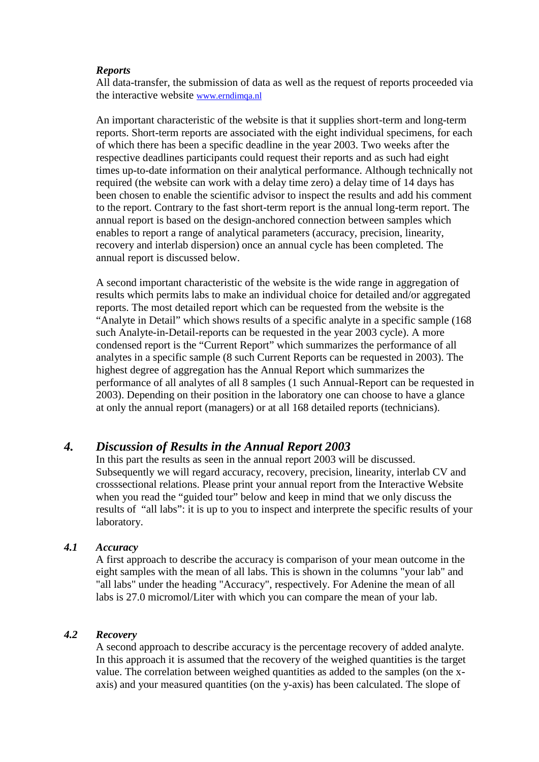#### *Reports*

All data-transfer, the submission of data as well as the request of reports proceeded via the interactive website www.erndimqa.nl

An important characteristic of the website is that it supplies short-term and long-term reports. Short-term reports are associated with the eight individual specimens, for each of which there has been a specific deadline in the year 2003. Two weeks after the respective deadlines participants could request their reports and as such had eight times up-to-date information on their analytical performance. Although technically not required (the website can work with a delay time zero) a delay time of 14 days has been chosen to enable the scientific advisor to inspect the results and add his comment to the report. Contrary to the fast short-term report is the annual long-term report. The annual report is based on the design-anchored connection between samples which enables to report a range of analytical parameters (accuracy, precision, linearity, recovery and interlab dispersion) once an annual cycle has been completed. The annual report is discussed below.

A second important characteristic of the website is the wide range in aggregation of results which permits labs to make an individual choice for detailed and/or aggregated reports. The most detailed report which can be requested from the website is the "Analyte in Detail" which shows results of a specific analyte in a specific sample (168 such Analyte-in-Detail-reports can be requested in the year 2003 cycle). A more condensed report is the "Current Report" which summarizes the performance of all analytes in a specific sample (8 such Current Reports can be requested in 2003). The highest degree of aggregation has the Annual Report which summarizes the performance of all analytes of all 8 samples (1 such Annual-Report can be requested in 2003). Depending on their position in the laboratory one can choose to have a glance at only the annual report (managers) or at all 168 detailed reports (technicians).

### *4. Discussion of Results in the Annual Report 2003*

In this part the results as seen in the annual report 2003 will be discussed. Subsequently we will regard accuracy, recovery, precision, linearity, interlab CV and crosssectional relations. Please print your annual report from the Interactive Website when you read the "guided tour" below and keep in mind that we only discuss the results of "all labs": it is up to you to inspect and interprete the specific results of your laboratory.

#### *4.1 Accuracy*

A first approach to describe the accuracy is comparison of your mean outcome in the eight samples with the mean of all labs. This is shown in the columns "your lab" and "all labs" under the heading "Accuracy", respectively. For Adenine the mean of all labs is 27.0 micromol/Liter with which you can compare the mean of your lab.

#### *4.2 Recovery*

A second approach to describe accuracy is the percentage recovery of added analyte. In this approach it is assumed that the recovery of the weighed quantities is the target value. The correlation between weighed quantities as added to the samples (on the x axis) and your measured quantities (on the y-axis) has been calculated. The slope of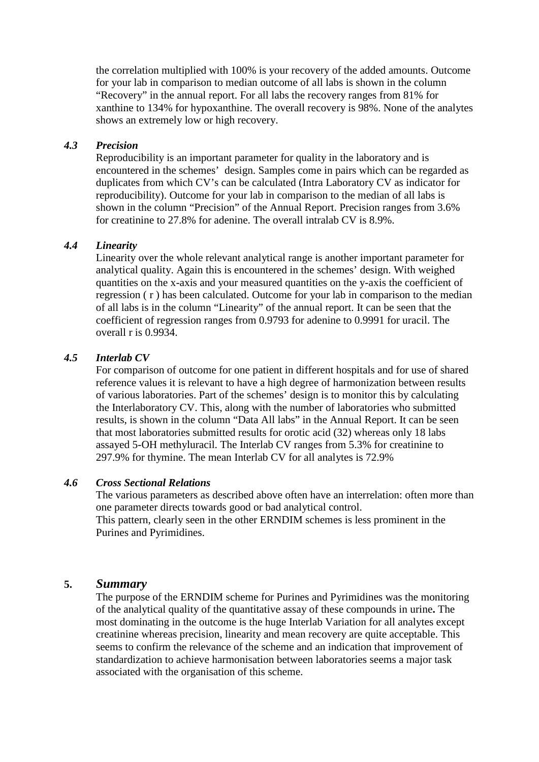the correlation multiplied with 100% is your recovery of the added amounts. Outcome for your lab in comparison to median outcome of all labs is shown in the column "Recovery" in the annual report. For all labs the recovery ranges from 81% for xanthine to 134% for hypoxanthine. The overall recovery is 98%. None of the analytes shows an extremely low or high recovery.

#### *4.3 Precision*

Reproducibility is an important parameter for quality in the laboratory and is encountered in the schemes' design. Samples come in pairs which can be regarded as duplicates from which CV's can be calculated (Intra Laboratory CV as indicator for reproducibility). Outcome for your lab in comparison to the median of all labs is shown in the column "Precision" of the Annual Report. Precision ranges from 3.6% for creatinine to 27.8% for adenine. The overall intralab CV is 8.9%.

#### *4.4 Linearity*

Linearity over the whole relevant analytical range is another important parameter for analytical quality. Again this is encountered in the schemes' design. With weighed quantities on the x-axis and your measured quantities on the y-axis the coefficient of regression ( r ) has been calculated. Outcome for your lab in comparison to the median of all labs is in the column "Linearity" of the annual report. It can be seen that the coefficient of regression ranges from 0.9793 for adenine to 0.9991 for uracil. The overall r is 0.9934.

#### *4.5 Interlab CV*

For comparison of outcome for one patient in different hospitals and for use of shared reference values it is relevant to have a high degree of harmonization between results of various laboratories. Part of the schemes' design is to monitor this by calculating the Interlaboratory CV. This, along with the number of laboratories who submitted results, is shown in the column "Data All labs" in the Annual Report. It can be seen that most laboratories submitted results for orotic acid (32) whereas only 18 labs assayed 5-OH methyluracil. The Interlab CV ranges from 5.3% for creatinine to 297.9% for thymine. The mean Interlab CV for all analytes is 72.9%

#### *4.6 Cross Sectional Relations*

The various parameters as described above often have an interrelation: often more than one parameter directs towards good or bad analytical control. This pattern, clearly seen in the other ERNDIM schemes is less prominent in the Purines and Pyrimidines.

#### **5.** *Summary*

The purpose of the ERNDIM scheme for Purines and Pyrimidines was the monitoring of the analytical quality of the quantitative assay of these compounds in urine**.** The most dominating in the outcome is the huge Interlab Variation for all analytes except creatinine whereas precision, linearity and mean recovery are quite acceptable. This seems to confirm the relevance of the scheme and an indication that improvement of standardization to achieve harmonisation between laboratories seems a major task associated with the organisation of this scheme.